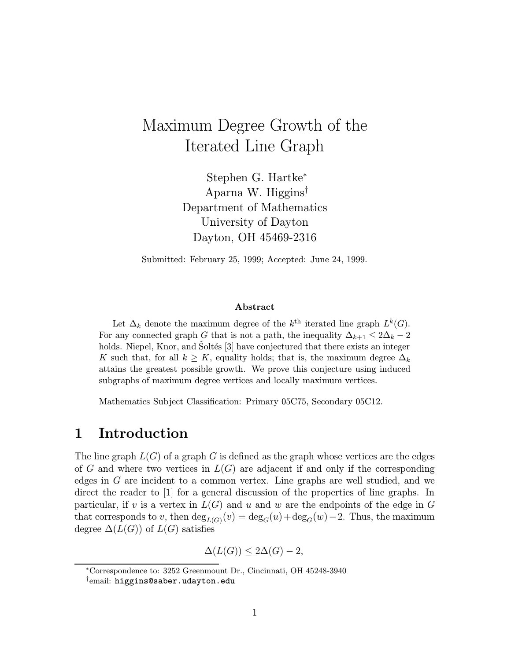# Maximum Degree Growth of the Iterated Line Graph

Stephen G. Hartke<sup>∗</sup> Aparna W. Higgins† Department of Mathematics University of Dayton Dayton, OH 45469-2316

Submitted: February 25, 1999; Accepted: June 24, 1999.

#### Abstract

Let  $\Delta_k$  denote the maximum degree of the  $k^{\text{th}}$  iterated line graph  $L^k(G)$ . For any connected graph G that is not a path, the inequality  $\Delta_{k+1} \leq 2\Delta_k - 2$ holds. Niepel, Knor, and Soltés [3] have conjectured that there exists an integer K such that, for all  $k \geq K$ , equality holds; that is, the maximum degree  $\Delta_k$ attains the greatest possible growth. We prove this conjecture using induced subgraphs of maximum degree vertices and locally maximum vertices.

Mathematics Subject Classification: Primary 05C75, Secondary 05C12.

### 1 Introduction

The line graph  $L(G)$  of a graph G is defined as the graph whose vertices are the edges of G and where two vertices in  $L(G)$  are adjacent if and only if the corresponding edges in G are incident to a common vertex. Line graphs are well studied, and we direct the reader to [1] for a general discussion of the properties of line graphs. In particular, if v is a vertex in  $L(G)$  and u and w are the endpoints of the edge in G that corresponds to v, then  $\deg_{L(G)}(v) = \deg_G(u) + \deg_G(w) - 2$ . Thus, the maximum degree  $\Delta(L(G))$  of  $L(G)$  satisfies

 $\Delta(L(G)) \leq 2\Delta(G) - 2,$ 

<sup>∗</sup>Correspondence to: 3252 Greenmount Dr., Cincinnati, OH 45248-3940

<sup>†</sup>email: higgins@saber.udayton.edu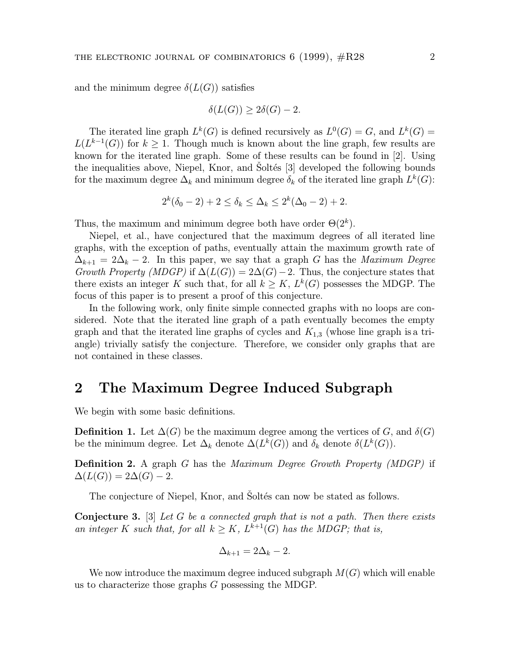and the minimum degree  $\delta(L(G))$  satisfies

$$
\delta(L(G)) \ge 2\delta(G) - 2.
$$

The iterated line graph  $L^k(G)$  is defined recursively as  $L^0(G) = G$ , and  $L^k(G) =$  $L(L^{k-1}(G))$  for  $k \geq 1$ . Though much is known about the line graph, few results are known for the iterated line graph. Some of these results can be found in [2]. Using the inequalities above, Niepel, Knor, and Soltés [3] developed the following bounds for the maximum degree  $\Delta_k$  and minimum degree  $\delta_k$  of the iterated line graph  $L^k(G)$ :

$$
2^{k}(\delta_0 - 2) + 2 \le \delta_k \le \Delta_k \le 2^{k}(\Delta_0 - 2) + 2.
$$

Thus, the maximum and minimum degree both have order  $\Theta(2^k)$ .

Niepel, et al., have conjectured that the maximum degrees of all iterated line graphs, with the exception of paths, eventually attain the maximum growth rate of  $\Delta_{k+1} = 2\Delta_k - 2$ . In this paper, we say that a graph G has the *Maximum Degree* Growth Property (MDGP) if  $\Delta(L(G)) = 2\Delta(G) - 2$ . Thus, the conjecture states that there exists an integer K such that, for all  $k \geq K$ ,  $L^k(G)$  possesses the MDGP. The focus of this paper is to present a proof of this conjecture.

In the following work, only finite simple connected graphs with no loops are considered. Note that the iterated line graph of a path eventually becomes the empty graph and that the iterated line graphs of cycles and  $K_{1,3}$  (whose line graph is a triangle) trivially satisfy the conjecture. Therefore, we consider only graphs that are not contained in these classes.

## 2 The Maximum Degree Induced Subgraph

We begin with some basic definitions.

**Definition 1.** Let  $\Delta(G)$  be the maximum degree among the vertices of G, and  $\delta(G)$ be the minimum degree. Let  $\Delta_k$  denote  $\Delta(L^k(G))$  and  $\delta_k$  denote  $\delta(L^k(G))$ .

**Definition 2.** A graph G has the *Maximum Degree Growth Property (MDGP)* if  $\Delta(L(G)) = 2\Delta(G) - 2.$ 

The conjecture of Niepel, Knor, and Soltés can now be stated as follows.

**Conjecture 3.** [3] Let G be a connected graph that is not a path. Then there exists an integer K such that, for all  $k \geq K$ ,  $L^{k+1}(G)$  has the MDGP; that is,

$$
\Delta_{k+1} = 2\Delta_k - 2.
$$

We now introduce the maximum degree induced subgraph  $M(G)$  which will enable us to characterize those graphs G possessing the MDGP.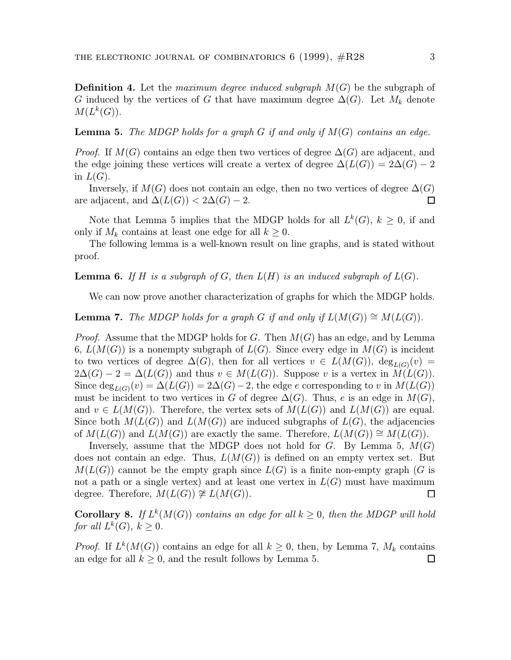**Definition 4.** Let the maximum degree induced subgraph  $M(G)$  be the subgraph of G induced by the vertices of G that have maximum degree  $\Delta(G)$ . Let  $M_k$  denote  $M(L^k(G)).$ 

**Lemma 5.** The MDGP holds for a graph G if and only if  $M(G)$  contains an edge.

*Proof.* If  $M(G)$  contains an edge then two vertices of degree  $\Delta(G)$  are adjacent, and the edge joining these vertices will create a vertex of degree  $\Delta(L(G)) = 2\Delta(G) - 2$ in  $L(G)$ .

Inversely, if  $M(G)$  does not contain an edge, then no two vertices of degree  $\Delta(G)$ are adjacent, and  $\Delta(L(G)) < 2\Delta(G) - 2$ .  $\Box$ 

Note that Lemma 5 implies that the MDGP holds for all  $L^k(G)$ ,  $k \geq 0$ , if and only if  $M_k$  contains at least one edge for all  $k \geq 0$ .

The following lemma is a well-known result on line graphs, and is stated without proof.

**Lemma 6.** If H is a subgraph of G, then  $L(H)$  is an induced subgraph of  $L(G)$ .

We can now prove another characterization of graphs for which the MDGP holds.

**Lemma 7.** The MDGP holds for a graph G if and only if  $L(M(G)) \cong M(L(G))$ .

*Proof.* Assume that the MDGP holds for G. Then  $M(G)$  has an edge, and by Lemma 6,  $L(M(G))$  is a nonempty subgraph of  $L(G)$ . Since every edge in  $M(G)$  is incident to two vertices of degree  $\Delta(G)$ , then for all vertices  $v \in L(M(G))$ ,  $\deg_{L(G)}(v) =$  $2\Delta(G) - 2 = \Delta(L(G))$  and thus  $v \in M(L(G))$ . Suppose v is a vertex in  $M(L(G))$ . Since  $\deg_{L(G)}(v) = \Delta(L(G)) = 2\Delta(G) - 2$ , the edge e corresponding to v in  $M(L(G))$ must be incident to two vertices in G of degree  $\Delta(G)$ . Thus, e is an edge in  $M(G)$ , and  $v \in L(M(G))$ . Therefore, the vertex sets of  $M(L(G))$  and  $L(M(G))$  are equal. Since both  $M(L(G))$  and  $L(M(G))$  are induced subgraphs of  $L(G)$ , the adjacencies of  $M(L(G))$  and  $L(M(G))$  are exactly the same. Therefore,  $L(M(G)) \cong M(L(G))$ .

Inversely, assume that the MDGP does not hold for  $G$ . By Lemma 5,  $M(G)$ does not contain an edge. Thus,  $L(M(G))$  is defined on an empty vertex set. But  $M(L(G))$  cannot be the empty graph since  $L(G)$  is a finite non-empty graph (G is not a path or a single vertex) and at least one vertex in  $L(G)$  must have maximum degree. Therefore,  $M(L(G)) \ncong L(M(G))$ . □

**Corollary 8.** If  $L^k(M(G))$  contains an edge for all  $k \geq 0$ , then the MDGP will hold for all  $L^k(G)$ ,  $k \geq 0$ .

*Proof.* If  $L^k(M(G))$  contains an edge for all  $k \geq 0$ , then, by Lemma 7,  $M_k$  contains an edge for all  $k \geq 0$ , and the result follows by Lemma 5. □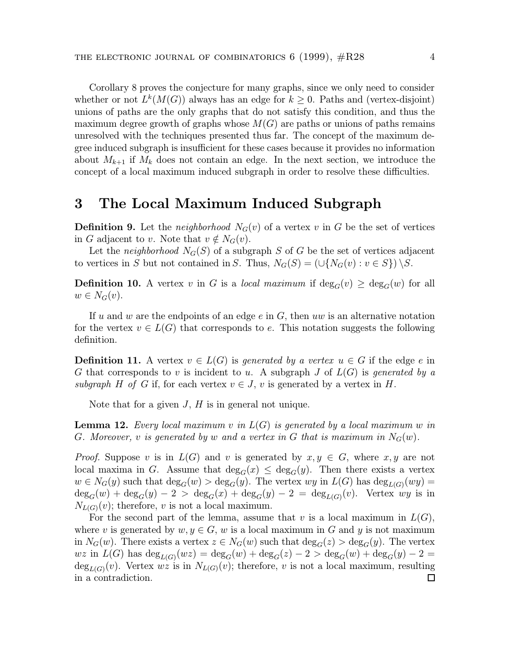Corollary 8 proves the conjecture for many graphs, since we only need to consider whether or not  $L^k(M(G))$  always has an edge for  $k \geq 0$ . Paths and (vertex-disjoint) unions of paths are the only graphs that do not satisfy this condition, and thus the maximum degree growth of graphs whose  $M(G)$  are paths or unions of paths remains unresolved with the techniques presented thus far. The concept of the maximum degree induced subgraph is insufficient for these cases because it provides no information about  $M_{k+1}$  if  $M_k$  does not contain an edge. In the next section, we introduce the concept of a local maximum induced subgraph in order to resolve these difficulties.

## 3 The Local Maximum Induced Subgraph

**Definition 9.** Let the *neighborhood*  $N_G(v)$  of a vertex v in G be the set of vertices in G adjacent to v. Note that  $v \notin N_G(v)$ .

Let the neighborhood  $N_G(S)$  of a subgraph S of G be the set of vertices adjacent to vertices in S but not contained in S. Thus,  $N_G(S)=(\bigcup\{N_G(v): v \in S\}) \setminus S$ .

**Definition 10.** A vertex v in G is a local maximum if  $\deg_G(v) \geq \deg_G(w)$  for all  $w \in N_G(v)$ .

If u and w are the endpoints of an edge  $e$  in  $G$ , then uw is an alternative notation for the vertex  $v \in L(G)$  that corresponds to e. This notation suggests the following definition.

**Definition 11.** A vertex  $v \in L(G)$  is generated by a vertex  $u \in G$  if the edge e in G that corresponds to v is incident to u. A subgraph J of  $L(G)$  is generated by a subgraph H of G if, for each vertex  $v \in J$ , v is generated by a vertex in H.

Note that for a given  $J, H$  is in general not unique.

**Lemma 12.** Every local maximum v in  $L(G)$  is generated by a local maximum w in G. Moreover, v is generated by w and a vertex in G that is maximum in  $N_G(w)$ .

*Proof.* Suppose v is in  $L(G)$  and v is generated by  $x, y \in G$ , where  $x, y$  are not local maxima in G. Assume that  $deg_G(x) \leq deg_G(y)$ . Then there exists a vertex  $w \in N_G(y)$  such that  $\deg_G(w) > \deg_G(y)$ . The vertex  $wy$  in  $L(G)$  has  $\deg_{L(G)}(wy) =$  $deg_G(w) + deg_G(y) - 2 > deg_G(x) + deg_G(y) - 2 = deg_{L(G)}(v)$ . Vertex wy is in  $N_{L(G)}(v)$ ; therefore, v is not a local maximum.

For the second part of the lemma, assume that v is a local maximum in  $L(G)$ , where v is generated by  $w, y \in G$ , w is a local maximum in G and y is not maximum in  $N_G(w)$ . There exists a vertex  $z \in N_G(w)$  such that  $\deg_G(z) > \deg_G(y)$ . The vertex wz in  $L(G)$  has  $deg_{L(G)}(wz) = deg_G(w) + deg_G(z) - 2 > deg_G(w) + deg_G(y) - 2 =$  $deg_{L(G)}(v)$ . Vertex wz is in  $N_{L(G)}(v)$ ; therefore, v is not a local maximum, resulting in a contradiction. $\Box$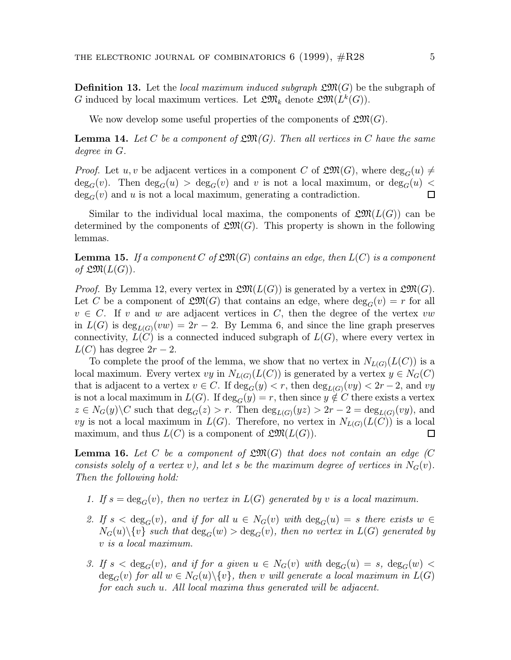**Definition 13.** Let the local maximum induced subgraph  $\mathfrak{L}(\mathfrak{M})$  be the subgraph of G induced by local maximum vertices. Let  $\mathfrak{L} \mathfrak{M}_k$  denote  $\mathfrak{L} \mathfrak{M}(L^k(G))$ .

We now develop some useful properties of the components of  $\mathfrak{L}(\mathfrak{M})$ .

**Lemma 14.** Let C be a component of  $\mathfrak{L}(\mathfrak{M})$ . Then all vertices in C have the same degree in G.

*Proof.* Let  $u, v$  be adjacent vertices in a component C of  $\mathfrak{L}(\mathfrak{M})$ , where  $\deg_G(u) \neq$  $deg_G(v)$ . Then  $deg_G(u) > deg_G(v)$  and v is not a local maximum, or  $deg_G(u)$  <  $deg_G(v)$  and u is not a local maximum, generating a contradiction.  $\Box$ 

Similar to the individual local maxima, the components of  $\mathfrak{L}\mathfrak{M}(L(G))$  can be determined by the components of  $\mathfrak{L}(\mathfrak{M})$ . This property is shown in the following lemmas.

**Lemma 15.** If a component C of  $\mathfrak{L}(\mathfrak{M})$  contains an edge, then  $L(C)$  is a component of  $\mathfrak{L} \mathfrak{M}(L(G))$ .

*Proof.* By Lemma 12, every vertex in  $\mathfrak{L}(\mathfrak{M}(L(G))$  is generated by a vertex in  $\mathfrak{L}(\mathfrak{M}(G))$ . Let C be a component of  $\mathfrak{L}(\mathfrak{M})$  that contains an edge, where  $\deg_G(v) = r$  for all  $v \in C$ . If v and w are adjacent vertices in C, then the degree of the vertex vw in  $L(G)$  is  $\deg_{L(G)}(vw)=2r-2$ . By Lemma 6, and since the line graph preserves connectivity,  $L(C)$  is a connected induced subgraph of  $L(G)$ , where every vertex in  $L(C)$  has degree  $2r-2$ .

To complete the proof of the lemma, we show that no vertex in  $N_{L(G)}(L(C))$  is a local maximum. Every vertex vy in  $N_{L(G)}(L(C))$  is generated by a vertex  $y \in N_G(C)$ that is adjacent to a vertex  $v \in C$ . If  $deg_G(y) < r$ , then  $deg_{L(G)}(vy) < 2r - 2$ , and vy is not a local maximum in  $L(G)$ . If  $\deg_G(y) = r$ , then since  $y \notin C$  there exists a vertex  $z \in N_G(y) \backslash C$  such that  $deg_G(z) > r$ . Then  $deg_{L(G)}(yz) > 2r - 2 = deg_{L(G)}(vy)$ , and vy is not a local maximum in  $L(G)$ . Therefore, no vertex in  $N_{L(G)}(L(C))$  is a local maximum, and thus  $L(C)$  is a component of  $\mathfrak{L}(\mathfrak{M}(L(G))).$  $\Box$ 

**Lemma 16.** Let C be a component of  $\mathfrak{L}(\mathfrak{M})$  that does not contain an edge (C) consists solely of a vertex v), and let s be the maximum degree of vertices in  $N_G(v)$ . Then the following hold:

- 1. If  $s = deg_G(v)$ , then no vertex in  $L(G)$  generated by v is a local maximum.
- 2. If  $s < deg_G(v)$ , and if for all  $u \in N_G(v)$  with  $deg_G(u) = s$  there exists  $w \in$  $N_G(u)\backslash\{v\}$  such that  $\deg_G(w) > \deg_G(v)$ , then no vertex in  $L(G)$  generated by v is a local maximum.
- 3. If  $s < deg_G(v)$ , and if for a given  $u \in N_G(v)$  with  $deg_G(u) = s$ ,  $deg_G(w) <$  $deg_G(v)$  for all  $w \in N_G(u) \backslash \{v\}$ , then v will generate a local maximum in  $L(G)$ for each such u. All local maxima thus generated will be adjacent.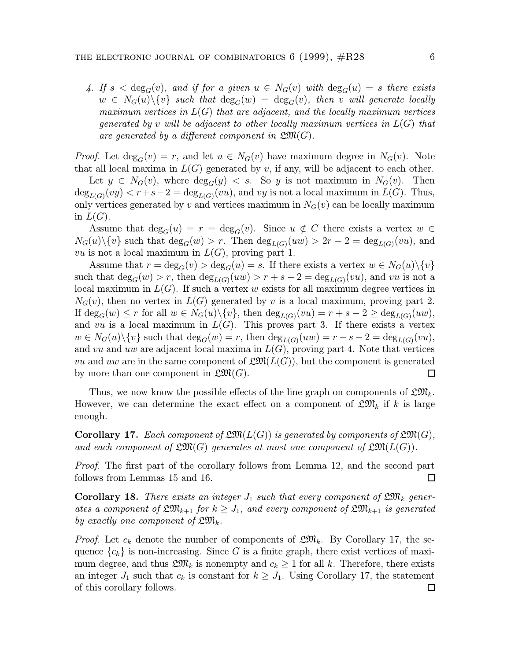4. If  $s < deg_G(v)$ , and if for a given  $u \in N_G(v)$  with  $deg_G(u) = s$  there exists  $w \in N_G(u) \backslash \{v\}$  such that  $deg_G(w) = deg_G(v)$ , then v will generate locally maximum vertices in  $L(G)$  that are adjacent, and the locally maximum vertices generated by v will be adjacent to other locally maximum vertices in  $L(G)$  that are generated by a different component in  $\mathfrak{L}(\mathfrak{M})$ .

*Proof.* Let  $\deg_G(v) = r$ , and let  $u \in N_G(v)$  have maximum degree in  $N_G(v)$ . Note that all local maxima in  $L(G)$  generated by v, if any, will be adjacent to each other.

Let  $y \in N_G(v)$ , where  $\deg_G(y) < s$ . So y is not maximum in  $N_G(v)$ . Then  $deg_{L(G)}(vy) < r+s-2 = deg_{L(G)}(vu)$ , and vy is not a local maximum in  $L(G)$ . Thus, only vertices generated by v and vertices maximum in  $N<sub>G</sub>(v)$  can be locally maximum in  $L(G)$ .

Assume that  $\deg_G(u) = r = \deg_G(v)$ . Since  $u \notin C$  there exists a vertex  $w \in C$  $N_G(u)\backslash\{v\}$  such that  $\deg_G(w) > r$ . Then  $\deg_{L(G)}(uw) > 2r - 2 = \deg_{L(G)}(vu)$ , and vu is not a local maximum in  $L(G)$ , proving part 1.

Assume that  $r = \deg_G(v) > \deg_G(u) = s$ . If there exists a vertex  $w \in N_G(u) \setminus \{v\}$ such that  $\deg_G(w) > r$ , then  $\deg_{L(G)}(uw) > r + s - 2 = \deg_{L(G)}(vu)$ , and vu is not a local maximum in  $L(G)$ . If such a vertex w exists for all maximum degree vertices in  $N_G(v)$ , then no vertex in  $L(G)$  generated by v is a local maximum, proving part 2. If  $\deg_G(w) \leq r$  for all  $w \in N_G(u) \setminus \{v\}$ , then  $\deg_{L(G)}(vu) = r + s - 2 \geq \deg_{L(G)}(uw)$ , and vu is a local maximum in  $L(G)$ . This proves part 3. If there exists a vertex  $w \in N_G(u) \setminus \{v\}$  such that  $\deg_G(w) = r$ , then  $\deg_{L(G)}(uw) = r + s - 2 = \deg_{L(G)}(vu)$ , and vu and uw are adjacent local maxima in  $L(G)$ , proving part 4. Note that vertices vu and uw are in the same component of  $\mathfrak{L}(\mathfrak{M}(L(G)))$ , but the component is generated by more than one component in  $\mathfrak{L}(\mathfrak{M})$ . □

Thus, we now know the possible effects of the line graph on components of  $\mathfrak{L} \mathfrak{M}_k$ . However, we can determine the exact effect on a component of  $\mathfrak{L} \mathfrak{M}_k$  if k is large enough.

**Corollary 17.** Each component of  $\mathfrak{L}\mathfrak{M}(L(G))$  is generated by components of  $\mathfrak{L}\mathfrak{M}(G)$ , and each component of  $\mathfrak{L} \mathfrak{M}(G)$  generates at most one component of  $\mathfrak{L} \mathfrak{M}(L(G))$ .

*Proof.* The first part of the corollary follows from Lemma 12, and the second part follows from Lemmas 15 and 16.  $\Box$ 

**Corollary 18.** There exists an integer  $J_1$  such that every component of  $\mathfrak{L} \mathfrak{M}_k$  generates a component of  $\mathfrak{L} \mathfrak{M}_{k+1}$  for  $k \geq J_1$ , and every component of  $\mathfrak{L} \mathfrak{M}_{k+1}$  is generated by exactly one component of  $\mathfrak{L} \mathfrak{M}_k$ .

*Proof.* Let  $c_k$  denote the number of components of  $\mathfrak{L} \mathfrak{M}_k$ . By Corollary 17, the sequence  ${c_k}$  is non-increasing. Since G is a finite graph, there exist vertices of maximum degree, and thus  $\mathfrak{L} \mathfrak{M}_k$  is nonempty and  $c_k \geq 1$  for all k. Therefore, there exists an integer  $J_1$  such that  $c_k$  is constant for  $k \geq J_1$ . Using Corollary 17, the statement of this corollary follows.□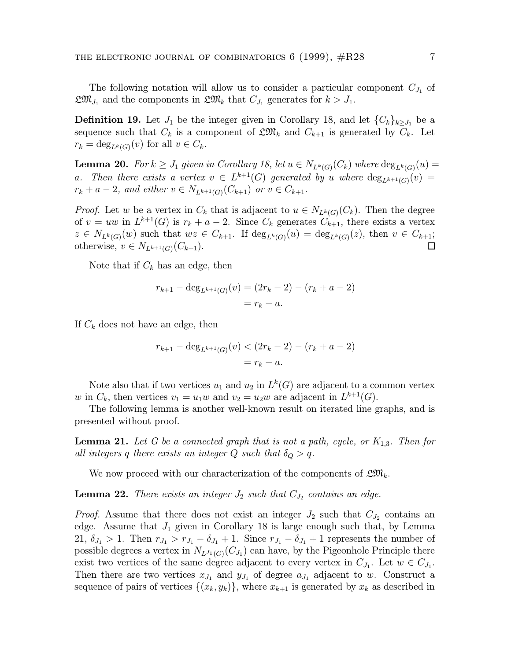The following notation will allow us to consider a particular component  $C_{J_1}$  of  $\mathfrak{L} \mathfrak{M}_{J_1}$  and the components in  $\mathfrak{L} \mathfrak{M}_k$  that  $C_{J_1}$  generates for  $k>J_1$ .

**Definition 19.** Let  $J_1$  be the integer given in Corollary 18, and let  $\{C_k\}_{k>J_1}$  be a sequence such that  $C_k$  is a component of  $\mathfrak{L} \mathfrak{M}_k$  and  $C_{k+1}$  is generated by  $C_k$ . Let  $r_k = \deg_{L^k(G)}(v)$  for all  $v \in C_k$ .

**Lemma 20.** For  $k \geq J_1$  given in Corollary 18, let  $u \in N_{L^k(G)}(C_k)$  where  $\deg_{L^k(G)}(u)$ a. Then there exists a vertex  $v \in L^{k+1}(G)$  generated by u where  $\deg_{L^{k+1}(G)}(v) =$  $r_k + a - 2$ , and either  $v \in N_{L^{k+1}(G)}(C_{k+1})$  or  $v \in C_{k+1}$ .

*Proof.* Let w be a vertex in  $C_k$  that is adjacent to  $u \in N_{L^k(G)}(C_k)$ . Then the degree of  $v = uw$  in  $L^{k+1}(G)$  is  $r_k + a - 2$ . Since  $C_k$  generates  $C_{k+1}$ , there exists a vertex  $z \in N_{L^k(G)}(w)$  such that  $wz \in C_{k+1}$ . If  $\deg_{L^k(G)}(u) = \deg_{L^k(G)}(z)$ , then  $v \in C_{k+1}$ ; otherwise,  $v \in N_{L^{k+1}(G)}(C_{k+1}).$  $\Box$ 

Note that if  $C_k$  has an edge, then

$$
r_{k+1} - \deg_{L^{k+1}(G)}(v) = (2r_k - 2) - (r_k + a - 2)
$$
  
=  $r_k - a$ .

If  $C_k$  does not have an edge, then

$$
r_{k+1} - \deg_{L^{k+1}(G)}(v) < (2r_k - 2) - (r_k + a - 2) \\
= r_k - a.
$$

Note also that if two vertices  $u_1$  and  $u_2$  in  $L^k(G)$  are adjacent to a common vertex w in  $C_k$ , then vertices  $v_1 = u_1w$  and  $v_2 = u_2w$  are adjacent in  $L^{k+1}(G)$ .

The following lemma is another well-known result on iterated line graphs, and is presented without proof.

**Lemma 21.** Let G be a connected graph that is not a path, cycle, or  $K_{1,3}$ . Then for all integers q there exists an integer Q such that  $\delta_Q > q$ .

We now proceed with our characterization of the components of  $\mathfrak{L} \mathfrak{M}_k$ .

**Lemma 22.** There exists an integer  $J_2$  such that  $C_{J_2}$  contains an edge.

*Proof.* Assume that there does not exist an integer  $J_2$  such that  $C_{J_2}$  contains an edge. Assume that  $J_1$  given in Corollary 18 is large enough such that, by Lemma 21,  $\delta_{J_1} > 1$ . Then  $r_{J_1} > r_{J_1} - \delta_{J_1} + 1$ . Since  $r_{J_1} - \delta_{J_1} + 1$  represents the number of possible degrees a vertex in  $N_{L^{J_1}(G)}(C_{J_1})$  can have, by the Pigeonhole Principle there exist two vertices of the same degree adjacent to every vertex in  $C_{J_1}$ . Let  $w \in C_{J_1}$ . Then there are two vertices  $x_{J_1}$  and  $y_{J_1}$  of degree  $a_{J_1}$  adjacent to w. Construct a sequence of pairs of vertices  $\{(x_k, y_k)\}\$ , where  $x_{k+1}$  is generated by  $x_k$  as described in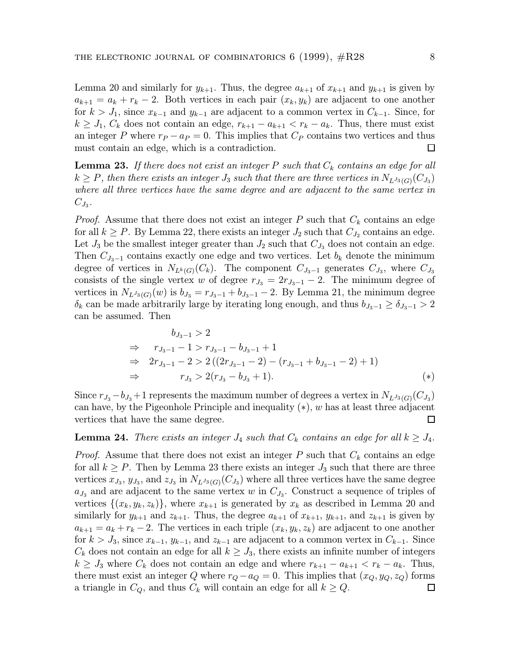Lemma 20 and similarly for  $y_{k+1}$ . Thus, the degree  $a_{k+1}$  of  $x_{k+1}$  and  $y_{k+1}$  is given by  $a_{k+1} = a_k + r_k - 2$ . Both vertices in each pair  $(x_k, y_k)$  are adjacent to one another for  $k>J_1$ , since  $x_{k-1}$  and  $y_{k-1}$  are adjacent to a common vertex in  $C_{k-1}$ . Since, for  $k \geq J_1, C_k$  does not contain an edge,  $r_{k+1} - a_{k+1} < r_k - a_k$ . Thus, there must exist an integer P where  $r_P - a_P = 0$ . This implies that  $C_P$  contains two vertices and thus must contain an edge, which is a contradiction. □

**Lemma 23.** If there does not exist an integer P such that  $C_k$  contains an edge for all  $k \ge P$ , then there exists an integer  $J_3$  such that there are three vertices in  $N_{L^{J_3}(G)}(C_{J_3})$ where all three vertices have the same degree and are adjacent to the same vertex in  $C_{J_3}.$ 

*Proof.* Assume that there does not exist an integer P such that  $C_k$  contains an edge for all  $k \ge P$ . By Lemma 22, there exists an integer  $J_2$  such that  $C_{J_2}$  contains an edge. Let  $J_3$  be the smallest integer greater than  $J_2$  such that  $C_{J_3}$  does not contain an edge. Then  $C_{J_3-1}$  contains exactly one edge and two vertices. Let  $b_k$  denote the minimum degree of vertices in  $N_{L^k(G)}(C_k)$ . The component  $C_{J_3-1}$  generates  $C_{J_3}$ , where  $C_{J_3}$ consists of the single vertex w of degree  $r_{J_3} = 2r_{J_3-1} - 2$ . The minimum degree of vertices in  $N_{L^{J_3}(G)}(w)$  is  $b_{J_3} = r_{J_3-1} + b_{J_3-1} - 2$ . By Lemma 21, the minimum degree  $\delta_k$  can be made arbitrarily large by iterating long enough, and thus  $b_{J_3-1} \ge \delta_{J_3-1} > 2$ can be assumed. Then

$$
b_{J_3-1} > 2
$$
  
\n
$$
\Rightarrow r_{J_3-1} - 1 > r_{J_3-1} - b_{J_3-1} + 1
$$
  
\n
$$
\Rightarrow 2r_{J_3-1} - 2 > 2((2r_{J_3-1} - 2) - (r_{J_3-1} + b_{J_3-1} - 2) + 1)
$$
  
\n
$$
\Rightarrow r_{J_3} > 2(r_{J_3} - b_{J_3} + 1).
$$
 (\*)

Since  $r_{J_3} - b_{J_3} + 1$  represents the maximum number of degrees a vertex in  $N_{L^{J_3}(G)}(C_{J_3})$ can have, by the Pigeonhole Principle and inequality  $(*)$ , w has at least three adjacent vertices that have the same degree.  $\Box$ 

#### **Lemma 24.** There exists an integer  $J_4$  such that  $C_k$  contains an edge for all  $k \geq J_4$ .

*Proof.* Assume that there does not exist an integer P such that  $C_k$  contains an edge for all  $k \geq P$ . Then by Lemma 23 there exists an integer  $J_3$  such that there are three vertices  $x_{J_3}$ ,  $y_{J_3}$ , and  $z_{J_3}$  in  $N_{L^{J_3}(G)}(C_{J_3})$  where all three vertices have the same degree  $a_{J_3}$  and are adjacent to the same vertex w in  $C_{J_3}$ . Construct a sequence of triples of vertices  $\{(x_k, y_k, z_k)\}\$ , where  $x_{k+1}$  is generated by  $x_k$  as described in Lemma 20 and similarly for  $y_{k+1}$  and  $z_{k+1}$ . Thus, the degree  $a_{k+1}$  of  $x_{k+1}$ ,  $y_{k+1}$ , and  $z_{k+1}$  is given by  $a_{k+1} = a_k + r_k - 2$ . The vertices in each triple  $(x_k, y_k, z_k)$  are adjacent to one another for  $k>J_3$ , since  $x_{k-1}, y_{k-1}$ , and  $z_{k-1}$  are adjacent to a common vertex in  $C_{k-1}$ . Since  $C_k$  does not contain an edge for all  $k \geq J_3$ , there exists an infinite number of integers  $k \geq J_3$  where  $C_k$  does not contain an edge and where  $r_{k+1} - a_{k+1} < r_k - a_k$ . Thus, there must exist an integer Q where  $r_Q - a_Q = 0$ . This implies that  $(x_Q, y_Q, z_Q)$  forms a triangle in  $C_Q$ , and thus  $C_k$  will contain an edge for all  $k \geq Q$ . □